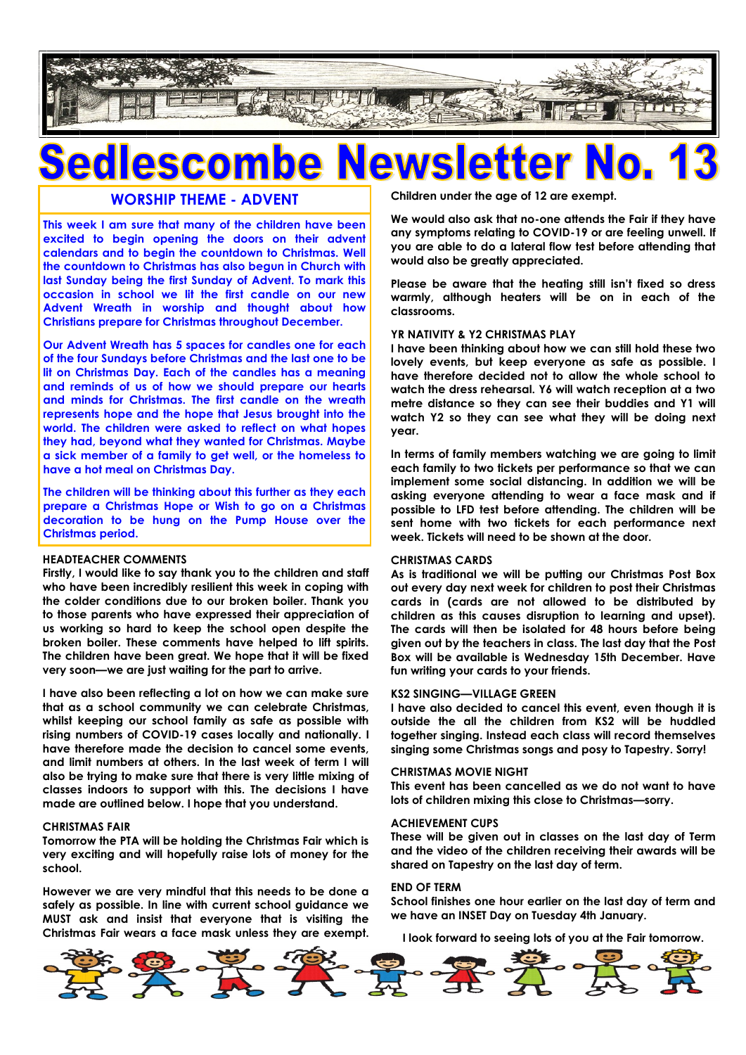

# SCO

## **WORSHIP THEME - ADVENT**

**This week I am sure that many of the children have been excited to begin opening the doors on their advent calendars and to begin the countdown to Christmas. Well the countdown to Christmas has also begun in Church with last Sunday being the first Sunday of Advent. To mark this occasion in school we lit the first candle on our new Advent Wreath in worship and thought about how Christians prepare for Christmas throughout December.**

**Our Advent Wreath has 5 spaces for candles one for each of the four Sundays before Christmas and the last one to be lit on Christmas Day. Each of the candles has a meaning and reminds of us of how we should prepare our hearts and minds for Christmas. The first candle on the wreath represents hope and the hope that Jesus brought into the world. The children were asked to reflect on what hopes they had, beyond what they wanted for Christmas. Maybe a sick member of a family to get well, or the homeless to have a hot meal on Christmas Day.**

**The children will be thinking about this further as they each prepare a Christmas Hope or Wish to go on a Christmas decoration to be hung on the Pump House over the Christmas period.**

#### **HEADTEACHER COMMENTS**

**Firstly, I would like to say thank you to the children and staff who have been incredibly resilient this week in coping with the colder conditions due to our broken boiler. Thank you to those parents who have expressed their appreciation of us working so hard to keep the school open despite the broken boiler. These comments have helped to lift spirits. The children have been great. We hope that it will be fixed very soon—we are just waiting for the part to arrive.**

**I have also been reflecting a lot on how we can make sure that as a school community we can celebrate Christmas, whilst keeping our school family as safe as possible with rising numbers of COVID-19 cases locally and nationally. I have therefore made the decision to cancel some events, and limit numbers at others. In the last week of term I will also be trying to make sure that there is very little mixing of classes indoors to support with this. The decisions I have made are outlined below. I hope that you understand.**

#### **CHRISTMAS FAIR**

**Tomorrow the PTA will be holding the Christmas Fair which is very exciting and will hopefully raise lots of money for the school.**

**However we are very mindful that this needs to be done a safely as possible. In line with current school guidance we MUST ask and insist that everyone that is visiting the Christmas Fair wears a face mask unless they are exempt.**  **Children under the age of 12 are exempt.** 

**We would also ask that no-one attends the Fair if they have any symptoms relating to COVID-19 or are feeling unwell. If you are able to do a lateral flow test before attending that would also be greatly appreciated.**

**Please be aware that the heating still isn't fixed so dress warmly, although heaters will be on in each of the classrooms.** 

#### **YR NATIVITY & Y2 CHRISTMAS PLAY**

**I have been thinking about how we can still hold these two lovely events, but keep everyone as safe as possible. I have therefore decided not to allow the whole school to watch the dress rehearsal. Y6 will watch reception at a two metre distance so they can see their buddies and Y1 will watch Y2 so they can see what they will be doing next year.**

**In terms of family members watching we are going to limit each family to two tickets per performance so that we can implement some social distancing. In addition we will be asking everyone attending to wear a face mask and if possible to LFD test before attending. The children will be sent home with two tickets for each performance next week. Tickets will need to be shown at the door.**

#### **CHRISTMAS CARDS**

**As is traditional we will be putting our Christmas Post Box out every day next week for children to post their Christmas cards in (cards are not allowed to be distributed by children as this causes disruption to learning and upset). The cards will then be isolated for 48 hours before being given out by the teachers in class. The last day that the Post Box will be available is Wednesday 15th December. Have fun writing your cards to your friends.**

#### **KS2 SINGING—VILLAGE GREEN**

**I have also decided to cancel this event, even though it is outside the all the children from KS2 will be huddled together singing. Instead each class will record themselves singing some Christmas songs and posy to Tapestry. Sorry!**

#### **CHRISTMAS MOVIE NIGHT**

**This event has been cancelled as we do not want to have lots of children mixing this close to Christmas—sorry.**

#### **ACHIEVEMENT CUPS**

**These will be given out in classes on the last day of Term and the video of the children receiving their awards will be shared on Tapestry on the last day of term.**

#### **END OF TERM**

**School finishes one hour earlier on the last day of term and we have an INSET Day on Tuesday 4th January.**

**I look forward to seeing lots of you at the Fair tomorrow.**